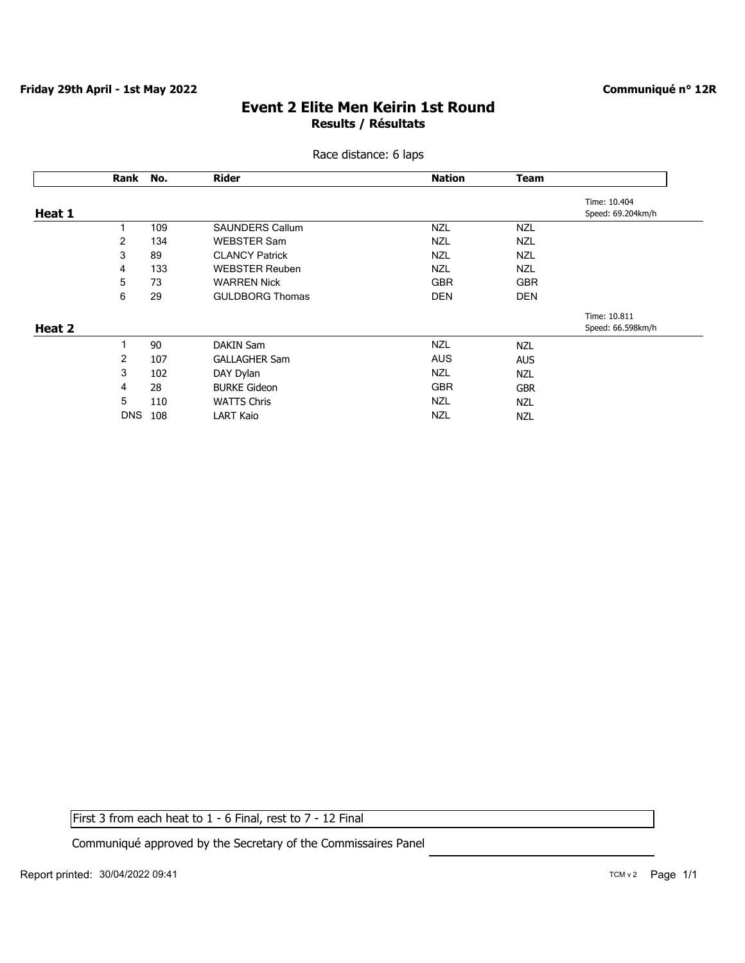### **Event 2 Elite Men Keirin 1st Round Results / Résultats**

| Race distance: 6 laps |  |
|-----------------------|--|
|                       |  |

|        | Rank           | No. | <b>Rider</b>           | <b>Nation</b> | <b>Team</b> |                   |
|--------|----------------|-----|------------------------|---------------|-------------|-------------------|
|        |                |     |                        |               |             | Time: 10.404      |
| Heat 1 |                |     |                        |               |             | Speed: 69.204km/h |
|        |                | 109 | <b>SAUNDERS Callum</b> | <b>NZL</b>    | <b>NZL</b>  |                   |
|        | 2              | 134 | <b>WEBSTER Sam</b>     | <b>NZL</b>    | <b>NZL</b>  |                   |
|        | 3              | 89  | <b>CLANCY Patrick</b>  | <b>NZL</b>    | <b>NZL</b>  |                   |
|        | 4              | 133 | <b>WEBSTER Reuben</b>  | <b>NZL</b>    | <b>NZL</b>  |                   |
|        | 5              | 73  | <b>WARREN Nick</b>     | <b>GBR</b>    | <b>GBR</b>  |                   |
|        | 6              | 29  | <b>GULDBORG Thomas</b> | <b>DEN</b>    | <b>DEN</b>  |                   |
|        |                |     |                        |               |             | Time: 10.811      |
| Heat 2 |                |     |                        |               |             | Speed: 66.598km/h |
|        | 1              | 90  | <b>DAKIN Sam</b>       | <b>NZL</b>    | <b>NZL</b>  |                   |
|        | $\overline{2}$ | 107 | <b>GALLAGHER Sam</b>   | <b>AUS</b>    | <b>AUS</b>  |                   |
|        | 3              | 102 | DAY Dylan              | <b>NZL</b>    | <b>NZL</b>  |                   |
|        | 4              | 28  | <b>BURKE Gideon</b>    | <b>GBR</b>    | <b>GBR</b>  |                   |
|        | 5              | 110 | <b>WATTS Chris</b>     | <b>NZL</b>    | <b>NZL</b>  |                   |
|        | <b>DNS</b>     | 108 | <b>LART Kaio</b>       | <b>NZL</b>    | <b>NZL</b>  |                   |
|        |                |     |                        |               |             |                   |

First 3 from each heat to 1 - 6 Final, rest to 7 - 12 Final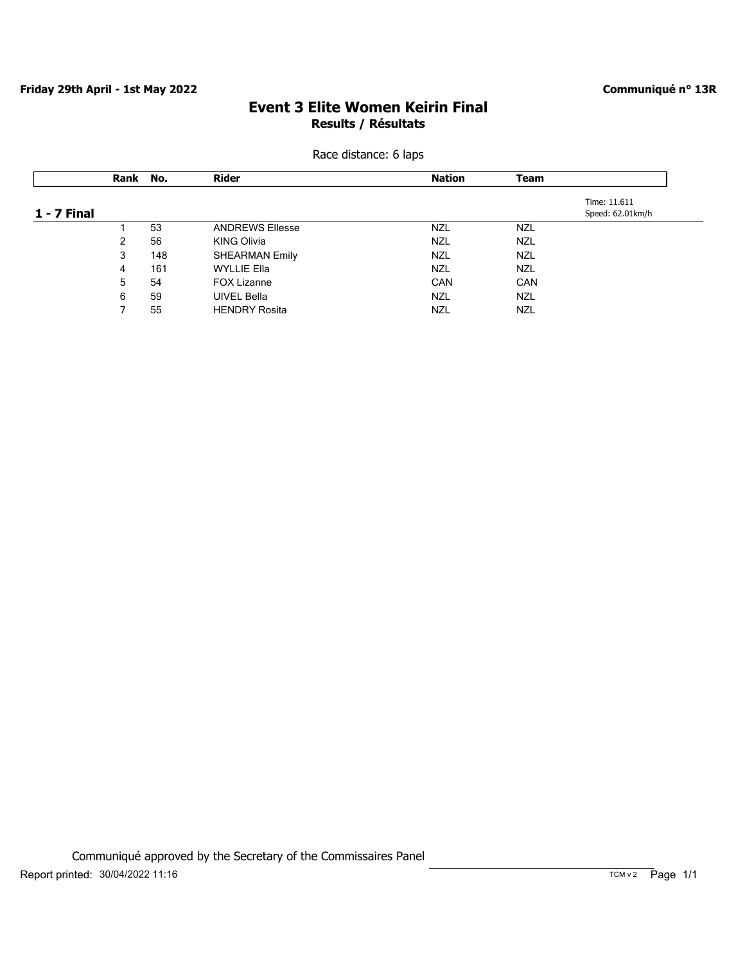#### **Communiqué n° 13R**

# **Event 3 Elite Women Keirin Final Results / Résultats**

|             | Rank | No. | <b>Rider</b>           | <b>Nation</b> | <b>Team</b> |                  |
|-------------|------|-----|------------------------|---------------|-------------|------------------|
|             |      |     |                        |               |             | Time: 11.611     |
| 1 - 7 Final |      |     |                        |               |             | Speed: 62.01km/h |
|             |      | 53  | <b>ANDREWS Ellesse</b> | <b>NZL</b>    | <b>NZL</b>  |                  |
|             | 2    | 56  | <b>KING Olivia</b>     | <b>NZL</b>    | <b>NZL</b>  |                  |
|             | 3    | 148 | <b>SHEARMAN Emily</b>  | <b>NZL</b>    | <b>NZL</b>  |                  |
|             | 4    | 161 | <b>WYLLIE Ella</b>     | <b>NZL</b>    | <b>NZL</b>  |                  |
|             | 5    | 54  | <b>FOX Lizanne</b>     | <b>CAN</b>    | <b>CAN</b>  |                  |
|             | 6    | 59  | <b>UIVEL Bella</b>     | <b>NZL</b>    | <b>NZL</b>  |                  |
|             |      | 55  | <b>HENDRY Rosita</b>   | NZL           | <b>NZL</b>  |                  |

Race distance: 6 laps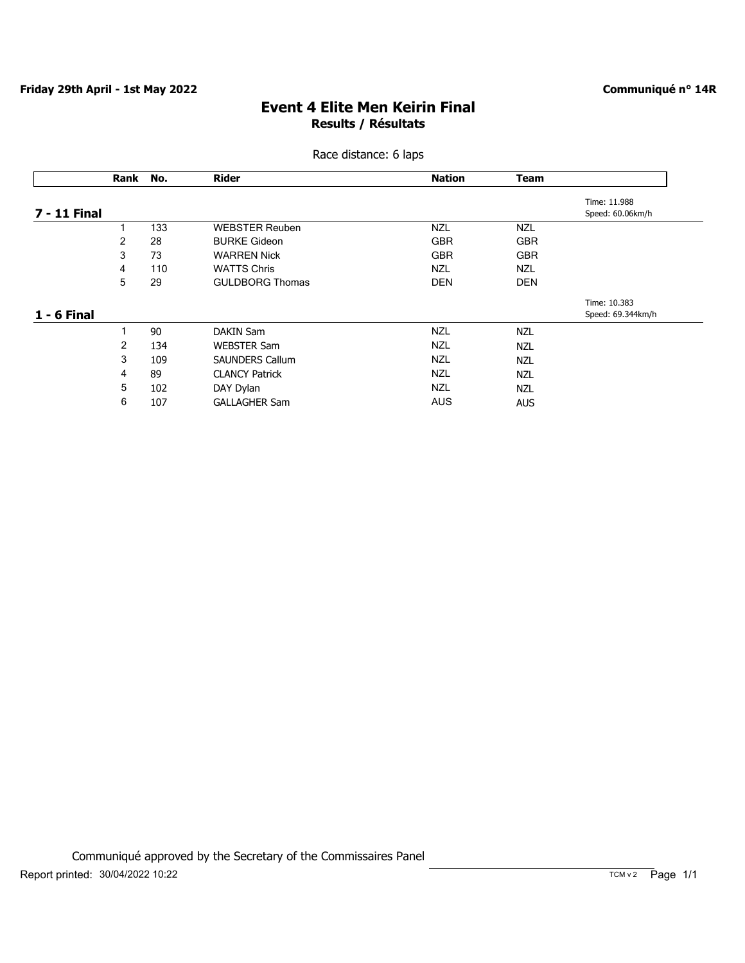#### **Communiqué n° 14R**

# **Event 4 Elite Men Keirin Final Results / Résultats**

### Race distance: 6 laps

| Time: 11.988<br>Speed: 60.06km/h<br><b>NZL</b><br><b>GBR</b>       |
|--------------------------------------------------------------------|
|                                                                    |
|                                                                    |
|                                                                    |
| <b>GBR</b>                                                         |
| <b>NZL</b>                                                         |
| <b>DEN</b>                                                         |
| Time: 10.383                                                       |
| Speed: 69.344km/h                                                  |
|                                                                    |
|                                                                    |
|                                                                    |
|                                                                    |
|                                                                    |
| <b>AUS</b>                                                         |
| <b>NZL</b><br><b>NZL</b><br><b>NZL</b><br><b>NZL</b><br><b>NZL</b> |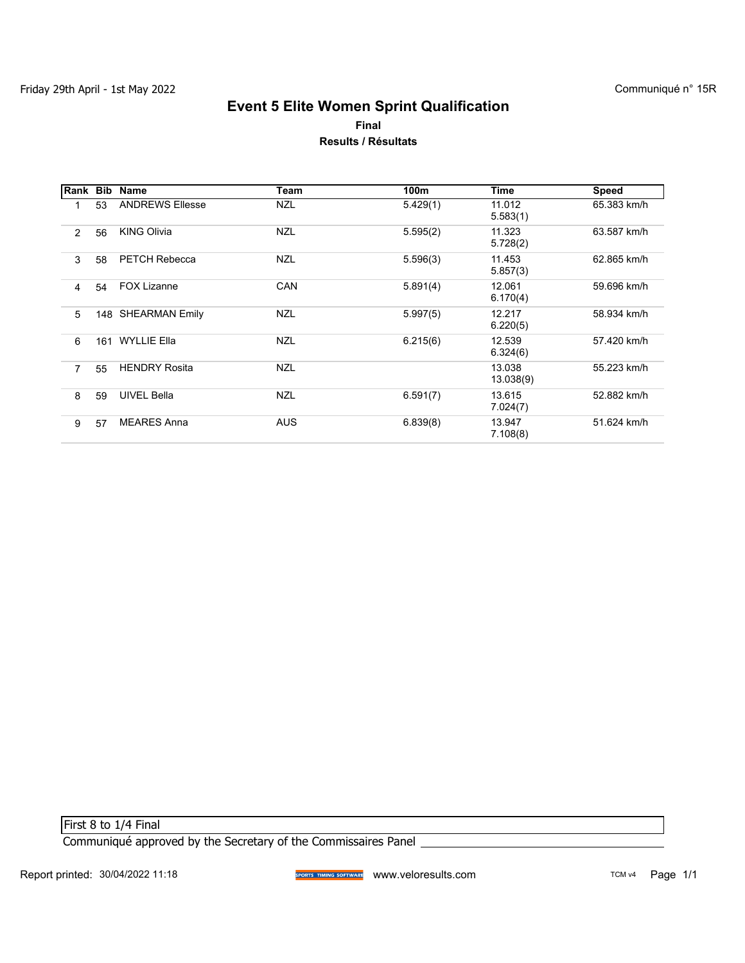## **Event 5 Elite Women Sprint Qualification Final Results / Résultats**

| Rank           | Bib | Name                   | Team       | 100m     | Time                | <b>Speed</b> |
|----------------|-----|------------------------|------------|----------|---------------------|--------------|
|                | 53  | <b>ANDREWS Ellesse</b> | <b>NZL</b> | 5.429(1) | 11.012<br>5.583(1)  | 65.383 km/h  |
| $\overline{2}$ | 56  | <b>KING Olivia</b>     | <b>NZL</b> | 5.595(2) | 11.323<br>5.728(2)  | 63.587 km/h  |
| 3              | 58  | <b>PETCH Rebecca</b>   | <b>NZL</b> | 5.596(3) | 11.453<br>5.857(3)  | 62.865 km/h  |
| 4              | 54  | <b>FOX Lizanne</b>     | <b>CAN</b> | 5.891(4) | 12.061<br>6.170(4)  | 59.696 km/h  |
| 5              |     | 148 SHEARMAN Emily     | <b>NZL</b> | 5.997(5) | 12.217<br>6.220(5)  | 58.934 km/h  |
| 6              | 161 | <b>WYLLIE Ella</b>     | <b>NZL</b> | 6.215(6) | 12.539<br>6.324(6)  | 57.420 km/h  |
| $\overline{7}$ | 55  | <b>HENDRY Rosita</b>   | <b>NZL</b> |          | 13.038<br>13.038(9) | 55.223 km/h  |
| 8              | 59  | <b>UIVEL Bella</b>     | <b>NZL</b> | 6.591(7) | 13.615<br>7.024(7)  | 52.882 km/h  |
| 9              | 57  | <b>MEARES Anna</b>     | <b>AUS</b> | 6.839(8) | 13.947<br>7.108(8)  | 51.624 km/h  |

First 8 to 1/4 Final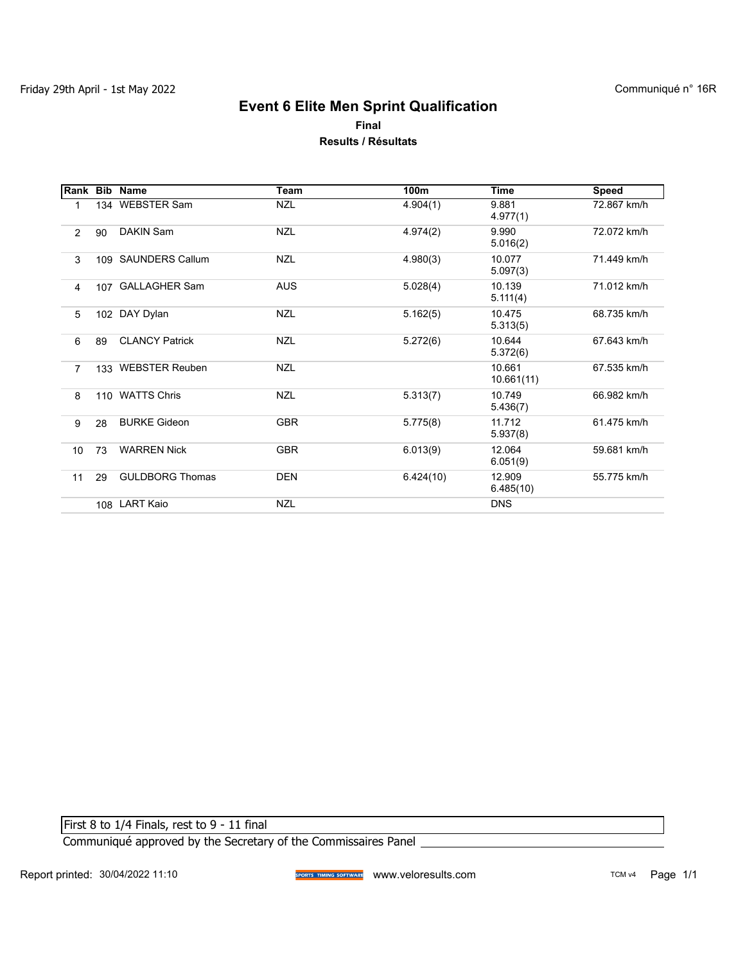### **Event 6 Elite Men Sprint Qualification Final Results / Résultats**

|                |     | Rank Bib Name          | Team       | 100m      | <b>Time</b>          | <b>Speed</b> |
|----------------|-----|------------------------|------------|-----------|----------------------|--------------|
| 1              |     | 134 WEBSTER Sam        | <b>NZL</b> | 4.904(1)  | 9.881<br>4.977(1)    | 72.867 km/h  |
| $\overline{2}$ | 90  | DAKIN Sam              | <b>NZL</b> | 4.974(2)  | 9.990<br>5.016(2)    | 72.072 km/h  |
| 3              |     | 109 SAUNDERS Callum    | <b>NZL</b> | 4.980(3)  | 10.077<br>5.097(3)   | 71.449 km/h  |
| 4              |     | 107 GALLAGHER Sam      | <b>AUS</b> | 5.028(4)  | 10.139<br>5.11(4)    | 71.012 km/h  |
| 5              |     | 102 DAY Dylan          | <b>NZL</b> | 5.162(5)  | 10.475<br>5.313(5)   | 68.735 km/h  |
| 6              | 89  | <b>CLANCY Patrick</b>  | <b>NZL</b> | 5.272(6)  | 10.644<br>5.372(6)   | 67.643 km/h  |
| $\overline{7}$ |     | 133 WEBSTER Reuben     | <b>NZL</b> |           | 10.661<br>10.661(11) | 67.535 km/h  |
| 8              | 110 | <b>WATTS Chris</b>     | <b>NZL</b> | 5.313(7)  | 10.749<br>5.436(7)   | 66.982 km/h  |
| 9              | 28  | <b>BURKE Gideon</b>    | <b>GBR</b> | 5.775(8)  | 11.712<br>5.937(8)   | 61.475 km/h  |
| 10             | 73  | <b>WARREN Nick</b>     | <b>GBR</b> | 6.013(9)  | 12.064<br>6.051(9)   | 59.681 km/h  |
| 11             | 29  | <b>GULDBORG Thomas</b> | <b>DEN</b> | 6.424(10) | 12.909<br>6.485(10)  | 55.775 km/h  |
|                |     | 108 LART Kaio          | <b>NZL</b> |           | <b>DNS</b>           |              |

First 8 to 1/4 Finals, rest to 9 - 11 final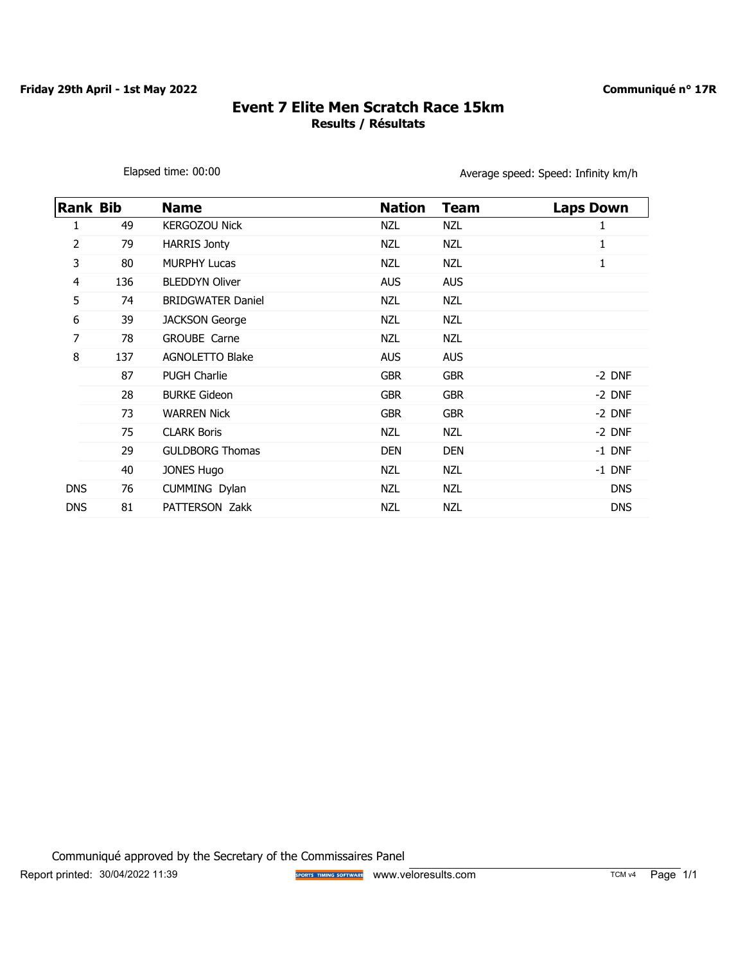$\mathsf{l}$ 

#### **Communiqué n° 17R**

# **Event 7 Elite Men Scratch Race 15km Results / Résultats**

Elapsed time: 00:00 entitled the state of the Average speed: Speed: Infinity km/h

| <b>Rank Bib</b> |     | <b>Name</b>              | <b>Nation</b> | <b>Team</b> | <b>Laps Down</b> |
|-----------------|-----|--------------------------|---------------|-------------|------------------|
| 1               | 49  | <b>KERGOZOU Nick</b>     | <b>NZL</b>    | NZL         |                  |
| 2               | 79  | <b>HARRIS Jonty</b>      | <b>NZL</b>    | <b>NZL</b>  | 1                |
| 3               | 80  | <b>MURPHY Lucas</b>      | NZL           | NZL         | 1                |
| 4               | 136 | <b>BLEDDYN Oliver</b>    | <b>AUS</b>    | <b>AUS</b>  |                  |
| 5               | 74  | <b>BRIDGWATER Daniel</b> | <b>NZL</b>    | <b>NZL</b>  |                  |
| 6               | 39  | <b>JACKSON George</b>    | NZL           | NZL         |                  |
| 7               | 78  | GROUBE Carne             | NZL           | <b>NZL</b>  |                  |
| 8               | 137 | <b>AGNOLETTO Blake</b>   | <b>AUS</b>    | <b>AUS</b>  |                  |
|                 | 87  | <b>PUGH Charlie</b>      | <b>GBR</b>    | <b>GBR</b>  | $-2$ DNF         |
|                 | 28  | <b>BURKE Gideon</b>      | <b>GBR</b>    | <b>GBR</b>  | -2 DNF           |
|                 | 73  | <b>WARREN Nick</b>       | <b>GBR</b>    | <b>GBR</b>  | -2 DNF           |
|                 | 75  | <b>CLARK Boris</b>       | <b>NZL</b>    | NZL         | -2 DNF           |
|                 | 29  | <b>GULDBORG Thomas</b>   | <b>DEN</b>    | <b>DEN</b>  | -1 DNF           |
|                 | 40  | <b>JONES Hugo</b>        | NZL           | <b>NZL</b>  | -1 DNF           |
| <b>DNS</b>      | 76  | CUMMING Dylan            | <b>NZL</b>    | NZL         | <b>DNS</b>       |
| <b>DNS</b>      | 81  | PATTERSON Zakk           | <b>NZL</b>    | <b>NZL</b>  | <b>DNS</b>       |

Communiqué approved by the Secretary of the Commissaires Panel Report printed: 30/04/2022 11:39 **Way TOM STORY STORY SOFTWARE** WWW.veloresults.com TCM v4 Page 1/1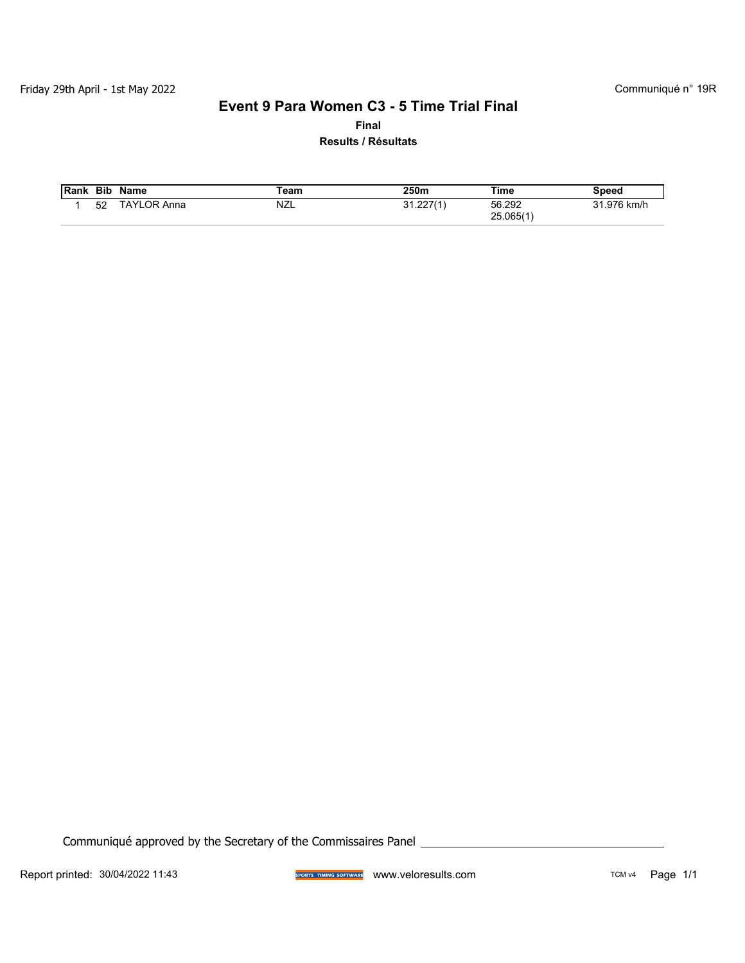# **Event 9 Para Women C3 - 5 Time Trial Final**

**Final**

**Results / Résultats**

| Rank | <b>Bib</b> | Name               | eam        | 250m        | Time                | Speed       |
|------|------------|--------------------|------------|-------------|---------------------|-------------|
|      | 52         | <b>TAYLOR Anna</b> | <b>NZL</b> | ``1.227′1′د | 56.292<br>25.065(1) | 31.976 km/h |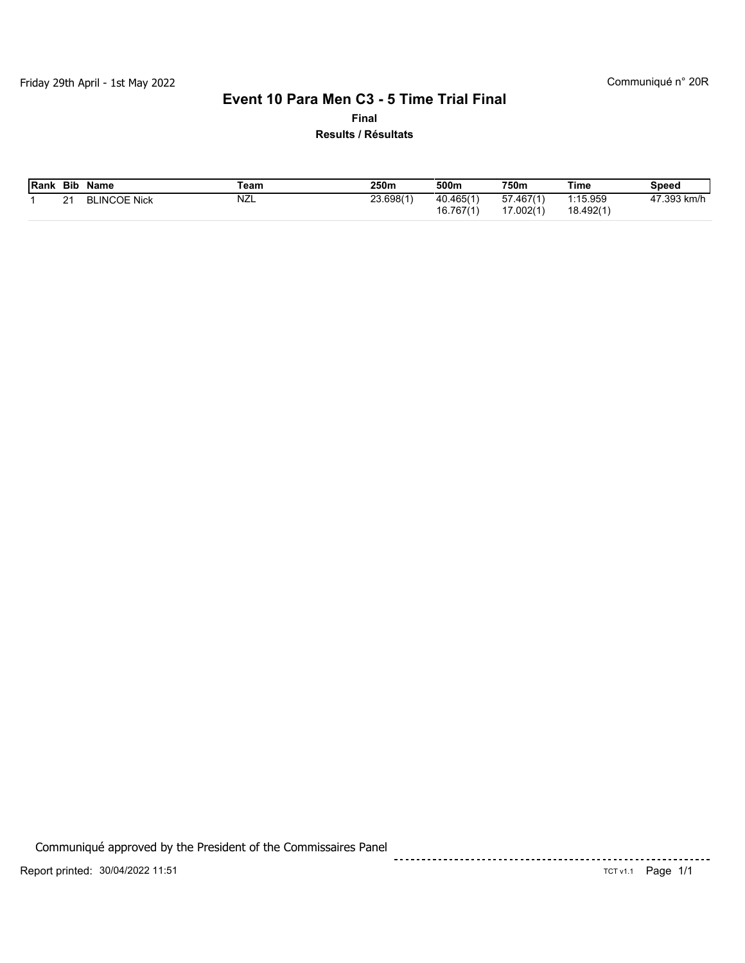#### **Event 10 Para Men C3 - 5 Time Trial Final**

**Final Results / Résultats**

| <b>Rank</b> | <b>Bib</b>        | <b>Name</b>         | 250m<br>⊺eam |           | 500m                   | 750m                               | Time                 | <b>Speed</b>           |  |
|-------------|-------------------|---------------------|--------------|-----------|------------------------|------------------------------------|----------------------|------------------------|--|
|             | $\mathbf{a}$<br>∠ | <b>BLINCOE Nick</b> | NZL          | 23.698(1) | 40.465(1)<br>16.767(1) | 57.467(1)<br>$\angle 002(1)$<br>-- | :15.959<br>18.492(1) | 47.393 k<br>km/h<br>4. |  |

Communiqué approved by the President of the Commissaires Panel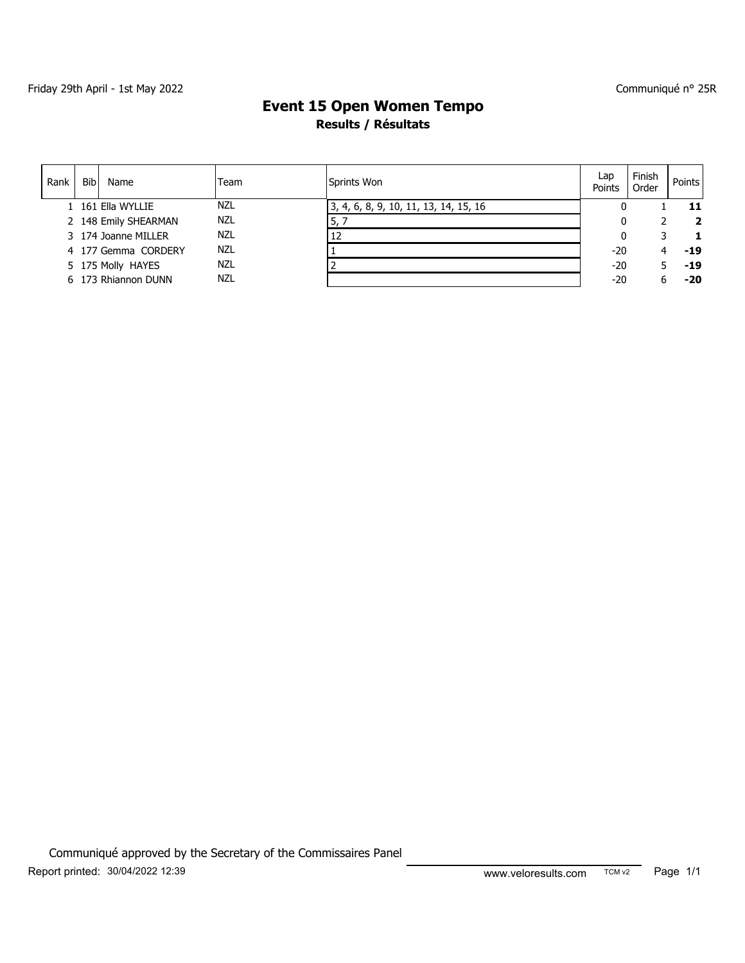#### Communiqué n° 25R

# **Results / Résultats Event 15 Open Women Tempo**

| Rank | <b>Bib</b> | Name                 | Team       | Sprints Won                           | Lap<br>Points | Finish<br>Order | Points I       |
|------|------------|----------------------|------------|---------------------------------------|---------------|-----------------|----------------|
|      |            | 1 161 Ella WYLLIE    | <b>NZL</b> | 3, 4, 6, 8, 9, 10, 11, 13, 14, 15, 16 |               |                 | 11             |
|      |            | 2 148 Emily SHEARMAN | NZL        | 5,                                    |               |                 | $\overline{2}$ |
|      |            | 3 174 Joanne MILLER  | NZL        | 12                                    |               |                 | 1              |
|      |            | 4 177 Gemma CORDERY  | NZL        |                                       | $-20$         |                 | $-19$          |
|      |            | 5 175 Molly HAYES    | NZL        |                                       | $-20$         |                 | -19            |
|      |            | 6 173 Rhiannon DUNN  | <b>NZL</b> |                                       | $-20$         | h               | $-20$          |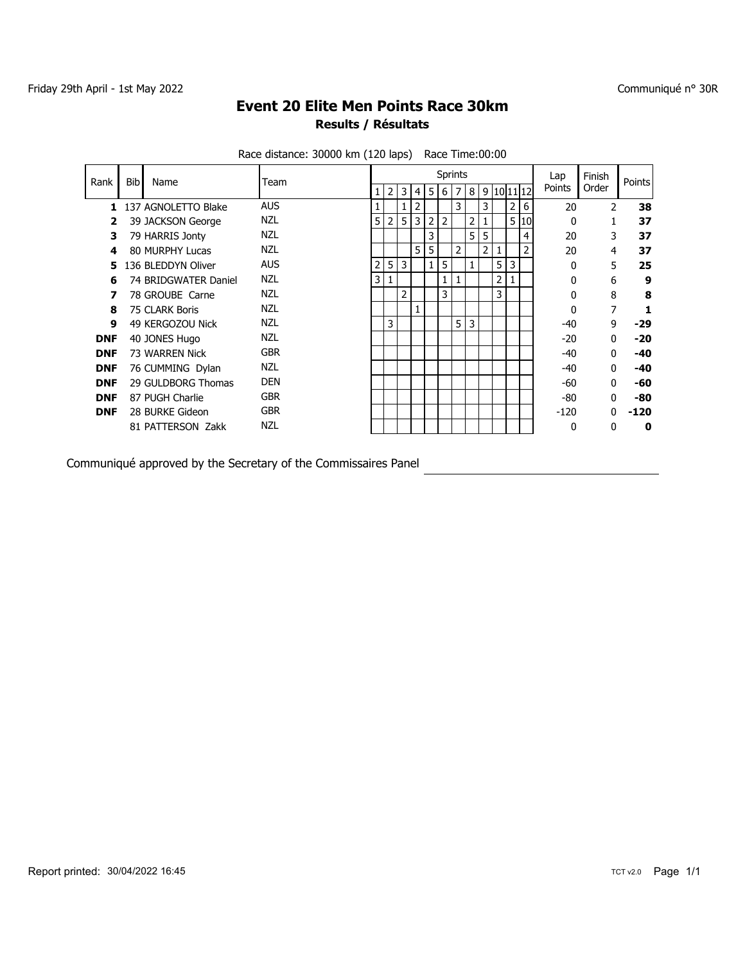# **Results / Résultats Event 20 Elite Men Points Race 30km**

| Rank       | <b>Bib</b> | Name                 | Team       |   |                |   |                |              | <b>Sprints</b> |                |                |   |                |                |    | Lap          | Finish        | Points |
|------------|------------|----------------------|------------|---|----------------|---|----------------|--------------|----------------|----------------|----------------|---|----------------|----------------|----|--------------|---------------|--------|
|            |            |                      |            | 1 | $\overline{2}$ | 3 | 4              | 5            | 6              | 7              | 8              |   |                | 9 10 11 12     |    | Points       | Order         |        |
| 1.         |            | 137 AGNOLETTO Blake  | <b>AUS</b> |   |                |   | $\overline{2}$ |              |                | 3              |                | 3 |                | $\overline{2}$ | 6  | 20           | $\mathcal{P}$ | 38     |
| 2          |            | 39 JACKSON George    | NZL        | 5 | 2 <sub>1</sub> | 5 | 3              | 2            | 2              |                | $\overline{2}$ |   |                | 5 <sup>1</sup> | 10 | $\mathbf{0}$ |               | 37     |
| 3          |            | 79 HARRIS Jonty      | <b>NZL</b> |   |                |   |                | 3            |                |                | 5              | 5 |                |                | 4  | 20           | 3             | 37     |
| 4          |            | 80 MURPHY Lucas      | <b>NZL</b> |   |                |   | 5              | 5            |                | $\overline{2}$ |                | 2 | $\mathbf{1}$   |                | 2  | 20           | 4             | 37     |
|            |            | 136 BLEDDYN Oliver   | <b>AUS</b> | 2 | 5              | 3 |                | $\mathbf{1}$ | 5              |                | 1              |   | 5              | 3              |    | 0            | 5             | 25     |
| 6          |            | 74 BRIDGWATER Daniel | <b>NZL</b> | 3 |                |   |                |              | 1              |                |                |   | $\overline{2}$ |                |    | $\mathbf{0}$ | 6             | 9      |
|            |            | 78 GROUBE Carne      | NZL        |   |                | 2 |                |              | 3              |                |                |   | 3              |                |    | $\mathbf{0}$ | 8             | 8      |
| 8          |            | 75 CLARK Boris       | <b>NZL</b> |   |                |   |                |              |                |                |                |   |                |                |    | $\mathbf{0}$ | 7             |        |
| 9          |            | 49 KERGOZOU Nick     | <b>NZL</b> |   | 3              |   |                |              |                | 5 <sup>1</sup> | 3              |   |                |                |    | -40          | 9             | $-29$  |
| <b>DNF</b> |            | 40 JONES Hugo        | <b>NZL</b> |   |                |   |                |              |                |                |                |   |                |                |    | $-20$        | 0             | $-20$  |
| <b>DNF</b> |            | 73 WARREN Nick       | <b>GBR</b> |   |                |   |                |              |                |                |                |   |                |                |    | -40          | 0             | $-40$  |
| <b>DNF</b> |            | 76 CUMMING Dylan     | <b>NZL</b> |   |                |   |                |              |                |                |                |   |                |                |    | -40          | $\mathbf{0}$  | $-40$  |
| <b>DNF</b> |            | 29 GULDBORG Thomas   | <b>DEN</b> |   |                |   |                |              |                |                |                |   |                |                |    | -60          | $\mathbf{0}$  | -60    |
| <b>DNF</b> |            | 87 PUGH Charlie      | <b>GBR</b> |   |                |   |                |              |                |                |                |   |                |                |    | -80          | 0             | -80    |
| <b>DNF</b> |            | 28 BURKE Gideon      | <b>GBR</b> |   |                |   |                |              |                |                |                |   |                |                |    | $-120$       | U             | -120   |
|            |            | 81 PATTERSON Zakk    | <b>NZL</b> |   |                |   |                |              |                |                |                |   |                |                |    | 0            | 0             | 0      |
|            |            |                      |            |   |                |   |                |              |                |                |                |   |                |                |    |              |               |        |

Race distance: 30000 km (120 laps) Race Time:00:00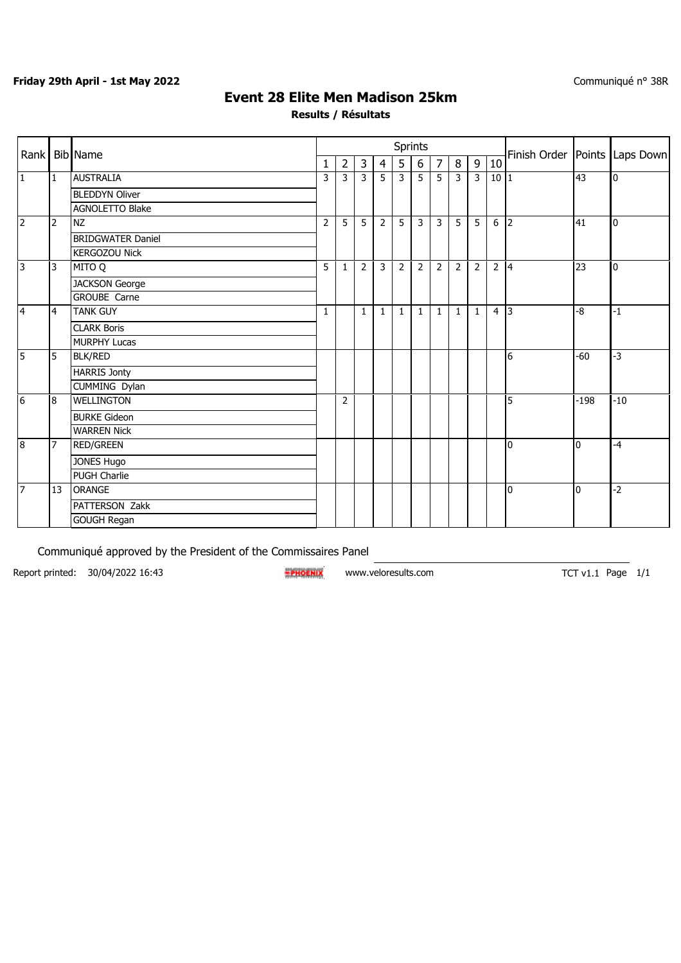#### **Friday 29th April - 1st May 2022**

## **Event 28 Elite Men Madison 25km**

**Results / Résultats**

| Rank           |                | <b>Bib</b> Name          |                |                |                |                | <b>Sprints</b> |                |                |              |                |                | Finish Order   Points   Laps Down |                |                |
|----------------|----------------|--------------------------|----------------|----------------|----------------|----------------|----------------|----------------|----------------|--------------|----------------|----------------|-----------------------------------|----------------|----------------|
|                |                |                          | 1              | $\overline{2}$ | 3              | $\overline{4}$ | 5              | 6              | $\overline{7}$ | $\bf 8$      | 9              | 10             |                                   |                |                |
| $\mathbf{1}$   | 1              | <b>AUSTRALIA</b>         | $\overline{3}$ | 3              | 3              | $5^{\circ}$    | لا             | $\overline{5}$ | $\overline{5}$ | لا           | $\overline{3}$ | 10 1           |                                   | 43             | $\overline{0}$ |
|                |                | <b>BLEDDYN Oliver</b>    |                |                |                |                |                |                |                |              |                |                |                                   |                |                |
|                |                | <b>AGNOLETTO Blake</b>   |                |                |                |                |                |                |                |              |                |                |                                   |                |                |
| $\overline{2}$ | $\overline{2}$ | <b>NZ</b>                | 2              | 5              | 5              | $\overline{2}$ | 5              | 3              | 3              | 5            | 5              | 6              | $\overline{2}$                    | 41             | 0              |
|                |                | <b>BRIDGWATER Daniel</b> |                |                |                |                |                |                |                |              |                |                |                                   |                |                |
|                |                | <b>KERGOZOU Nick</b>     |                |                |                |                |                |                |                |              |                |                |                                   |                |                |
| 3              | 3              | <b>D</b> OTIM            | 5              | 1              | $\overline{2}$ | 3              | $\overline{2}$ | $\overline{2}$ | $\overline{2}$ | 2            | $\overline{2}$ | $\overline{2}$ | $\vert$ 4                         | 23             | 0              |
|                |                | <b>JACKSON George</b>    |                |                |                |                |                |                |                |              |                |                |                                   |                |                |
|                |                | <b>GROUBE Carne</b>      |                |                |                |                |                |                |                |              |                |                |                                   |                |                |
| $\overline{4}$ | $\overline{4}$ | <b>TANK GUY</b>          | $\mathbf{1}$   |                | $\mathbf{1}$   | $\mathbf{1}$   | $\mathbf{1}$   | $\mathbf{1}$   | $\mathbf{1}$   | $\mathbf{1}$ | $\mathbf{1}$   | 4 3            |                                   | -8             | $-1$           |
|                |                | <b>CLARK Boris</b>       |                |                |                |                |                |                |                |              |                |                |                                   |                |                |
|                |                | <b>MURPHY Lucas</b>      |                |                |                |                |                |                |                |              |                |                |                                   |                |                |
| $\overline{5}$ | 5              | <b>BLK/RED</b>           |                |                |                |                |                |                |                |              |                |                | l6                                | -60            | $-3$           |
|                |                | <b>HARRIS Jonty</b>      |                |                |                |                |                |                |                |              |                |                |                                   |                |                |
|                |                | CUMMING Dylan            |                |                |                |                |                |                |                |              |                |                |                                   |                |                |
| 6              | 8              | <b>WELLINGTON</b>        |                | $\overline{2}$ |                |                |                |                |                |              |                |                | 5                                 | $-198$         | $-10$          |
|                |                | <b>BURKE Gideon</b>      |                |                |                |                |                |                |                |              |                |                |                                   |                |                |
|                |                | <b>WARREN Nick</b>       |                |                |                |                |                |                |                |              |                |                |                                   |                |                |
| 8              | 7              | <b>RED/GREEN</b>         |                |                |                |                |                |                |                |              |                |                | I0                                | l <sub>0</sub> | $-4$           |
|                |                | <b>JONES Hugo</b>        |                |                |                |                |                |                |                |              |                |                |                                   |                |                |
|                |                | <b>PUGH Charlie</b>      |                |                |                |                |                |                |                |              |                |                |                                   |                |                |
| $\overline{7}$ | 13             | <b>ORANGE</b>            |                |                |                |                |                |                |                |              |                |                | I0                                | l <sub>0</sub> | $-2$           |
|                |                | PATTERSON Zakk           |                |                |                |                |                |                |                |              |                |                |                                   |                |                |
|                |                | <b>GOUGH Regan</b>       |                |                |                |                |                |                |                |              |                |                |                                   |                |                |

Communiqué approved by the President of the Commissaires Panel

Report printed: 30/04/2022 16:43 <br>**EPROENIX** www.veloresults.com TCT v1.1 Page 1/1